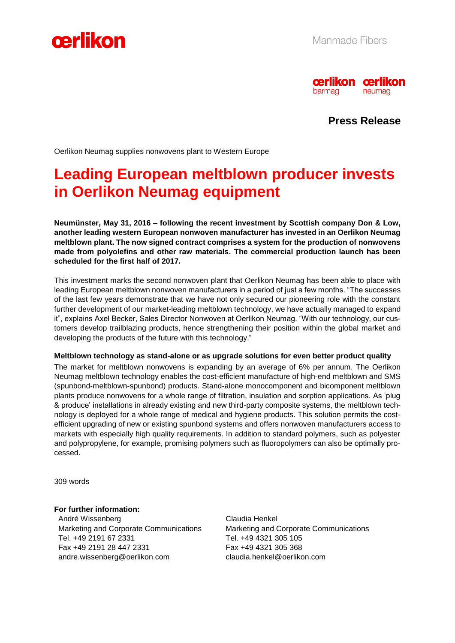



**Press Release**

Oerlikon Neumag supplies nonwovens plant to Western Europe

# **Leading European meltblown producer invests in Oerlikon Neumag equipment**

**Neumünster, May 31, 2016 – following the recent investment by Scottish company Don & Low, another leading western European nonwoven manufacturer has invested in an Oerlikon Neumag meltblown plant. The now signed contract comprises a system for the production of nonwovens made from polyolefins and other raw materials. The commercial production launch has been scheduled for the first half of 2017.** 

This investment marks the second nonwoven plant that Oerlikon Neumag has been able to place with leading European meltblown nonwoven manufacturers in a period of just a few months. "The successes of the last few years demonstrate that we have not only secured our pioneering role with the constant further development of our market-leading meltblown technology, we have actually managed to expand it", explains Axel Becker, Sales Director Nonwoven at Oerlikon Neumag. "With our technology, our customers develop trailblazing products, hence strengthening their position within the global market and developing the products of the future with this technology."

### **Meltblown technology as stand-alone or as upgrade solutions for even better product quality**

The market for meltblown nonwovens is expanding by an average of 6% per annum. The Oerlikon Neumag meltblown technology enables the cost-efficient manufacture of high-end meltblown and SMS (spunbond-meltblown-spunbond) products. Stand-alone monocomponent and bicomponent meltblown plants produce nonwovens for a whole range of filtration, insulation and sorption applications. As 'plug & produce' installations in already existing and new third-party composite systems, the meltblown technology is deployed for a whole range of medical and hygiene products. This solution permits the costefficient upgrading of new or existing spunbond systems and offers nonwoven manufacturers access to markets with especially high quality requirements. In addition to standard polymers, such as polyester and polypropylene, for example, promising polymers such as fluoropolymers can also be optimally processed.

309 words

### **For further information:**

André Wissenberg Marketing and Corporate Communications Tel. +49 2191 67 2331 Fax +49 2191 28 447 2331 andre.wissenberg@oerlikon.com

Claudia Henkel Marketing and Corporate Communications Tel. +49 4321 305 105 Fax +49 4321 305 368 claudia.henkel@oerlikon.com